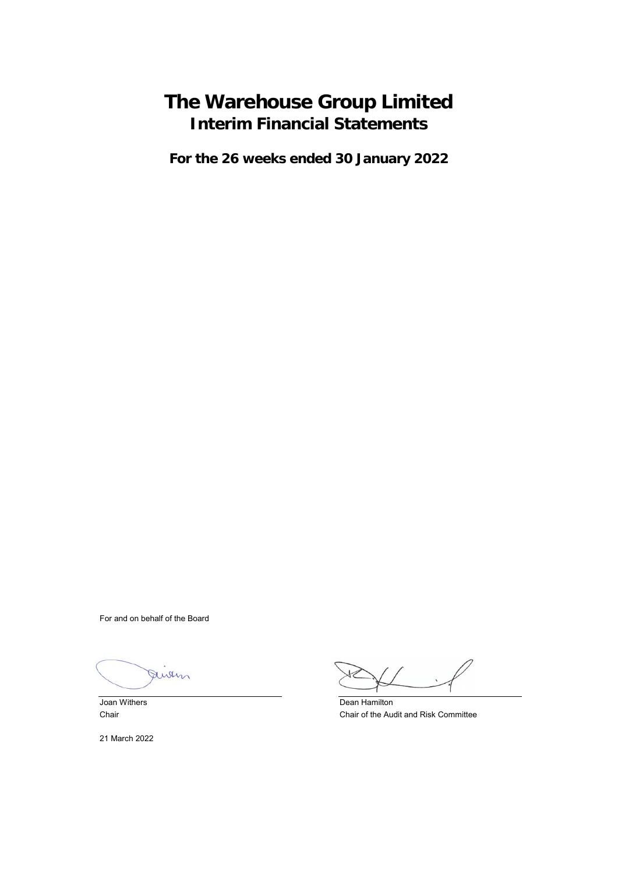# **The Warehouse Group Limited Interim Financial Statements**

**For the 26 weeks ended 30 January 2022**

For and on behalf of the Board

Julin

21 March 2022

**Joan Withers** Dean Hamilton Chair Chair of the Audit and Risk Committee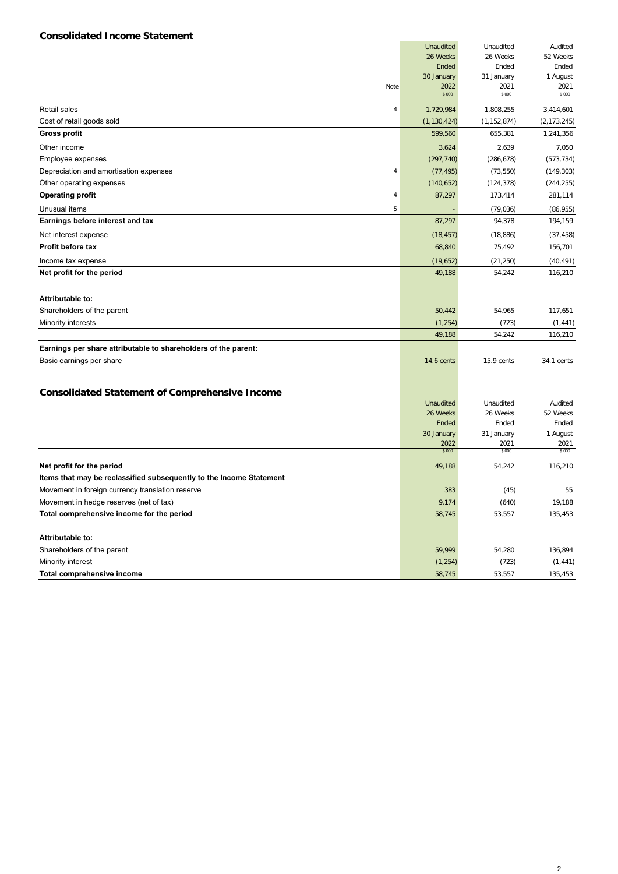# **Consolidated Income Statement**

|                                                                     | <b>Unaudited</b>      | Unaudited             | Audited             |
|---------------------------------------------------------------------|-----------------------|-----------------------|---------------------|
|                                                                     | 26 Weeks              | 26 Weeks              | 52 Weeks            |
|                                                                     | Ended                 | Ended                 | Ended               |
|                                                                     | 30 January            | 31 January            | 1 August            |
| Note                                                                | 2022<br>\$000         | 2021<br>\$ 000        | 2021<br>\$ 000      |
| <b>Retail sales</b><br>4                                            | 1,729,984             | 1,808,255             | 3,414,601           |
| Cost of retail goods sold                                           | (1, 130, 424)         | (1, 152, 874)         | (2, 173, 245)       |
| <b>Gross profit</b>                                                 | 599,560               | 655,381               | 1,241,356           |
| Other income                                                        | 3,624                 | 2,639                 | 7,050               |
| Employee expenses                                                   | (297, 740)            | (286, 678)            | (573, 734)          |
| Depreciation and amortisation expenses<br>4                         | (77, 495)             | (73, 550)             | (149, 303)          |
| Other operating expenses                                            | (140, 652)            | (124, 378)            | (244, 255)          |
| <b>Operating profit</b><br>$\overline{4}$                           | 87,297                | 173,414               | 281,114             |
| Unusual items<br>5                                                  |                       | (79, 036)             | (86, 955)           |
| Earnings before interest and tax                                    | 87,297                | 94,378                | 194,159             |
| Net interest expense                                                | (18, 457)             | (18, 886)             | (37, 458)           |
| Profit before tax                                                   | 68,840                | 75,492                | 156,701             |
| Income tax expense                                                  | (19,652)              | (21, 250)             | (40, 491)           |
| Net profit for the period                                           | 49,188                | 54,242                | 116,210             |
|                                                                     |                       |                       |                     |
| Attributable to:                                                    |                       |                       |                     |
| Shareholders of the parent                                          | 50,442                | 54,965                | 117,651             |
| Minority interests                                                  | (1, 254)              | (723)                 | (1, 441)            |
|                                                                     | 49,188                | 54,242                | 116,210             |
| Earnings per share attributable to shareholders of the parent:      |                       |                       |                     |
| Basic earnings per share                                            | <b>14.6 cents</b>     | 15.9 cents            | 34.1 cents          |
|                                                                     |                       |                       |                     |
|                                                                     |                       |                       |                     |
| <b>Consolidated Statement of Comprehensive Income</b>               |                       |                       |                     |
|                                                                     | Unaudited<br>26 Weeks | Unaudited<br>26 Weeks | Audited<br>52 Weeks |
|                                                                     | Ended                 | Ended                 | Ended               |
|                                                                     | 30 January            | 31 January            | 1 August            |
|                                                                     | 2022                  | 2021                  | 2021                |
|                                                                     | \$000                 | \$ 000                | \$ 000              |
| Net profit for the period                                           | 49,188                | 54,242                | 116,210             |
| Items that may be reclassified subsequently to the Income Statement |                       |                       |                     |
| Movement in foreign currency translation reserve                    | 383                   | (45)                  | 55                  |
| Movement in hedge reserves (net of tax)                             | 9,174                 | (640)                 | 19,188              |
| Total comprehensive income for the period                           | 58,745                | 53,557                | 135,453             |
|                                                                     |                       |                       |                     |
| Attributable to:                                                    |                       |                       |                     |
| Shareholders of the parent                                          | 59,999                | 54,280                | 136,894             |
| Minority interest                                                   | (1, 254)              | (723)                 | (1, 441)            |
| Total comprehensive income                                          | 58,745                | 53,557                | 135,453             |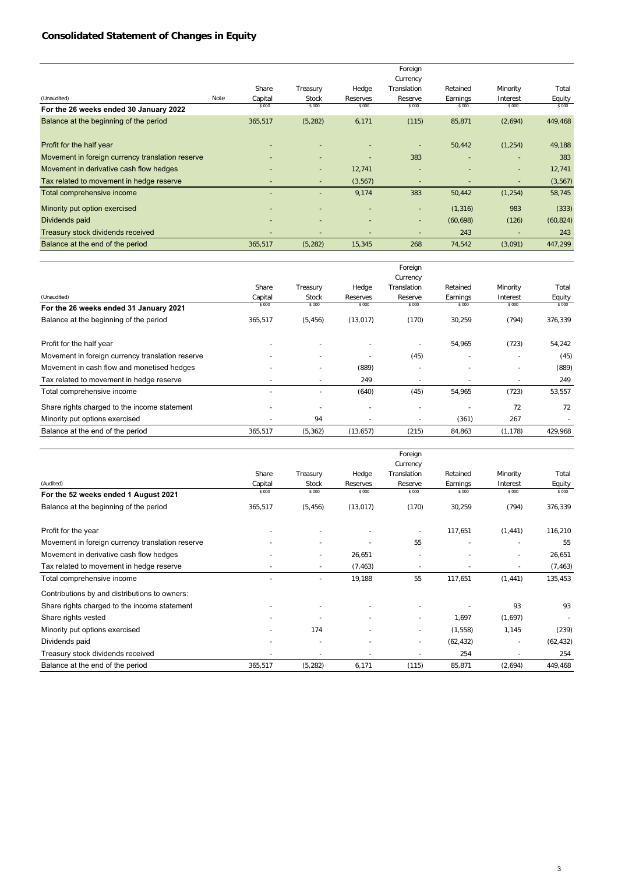# **Consolidated Statement of Changes in Equity**

|                                                  |      |                          |                          |                          | Foreign                  |           |          |           |
|--------------------------------------------------|------|--------------------------|--------------------------|--------------------------|--------------------------|-----------|----------|-----------|
|                                                  |      |                          |                          |                          | Currency                 |           |          |           |
|                                                  |      | Share                    | Treasury                 | Hedge                    | Translation              | Retained  | Minority | Total     |
| (Unaudited)                                      | Note | Capital                  | Stock                    | Reserves                 | Reserve                  | Earnings  | Interest | Equity    |
| For the 26 weeks ended 30 January 2022           |      | \$ 000                   | \$000                    | \$ 000                   | \$000                    | \$ 000    | \$ 000   | \$000     |
| Balance at the beginning of the period           |      | 365,517                  | (5, 282)                 | 6,171                    | (115)                    | 85,871    | (2,694)  | 449,468   |
| Profit for the half year                         |      |                          |                          |                          |                          | 50,442    | (1, 254) | 49,188    |
| Movement in foreign currency translation reserve |      |                          | ٠                        | ٠                        | 383                      |           |          | 383       |
| Movement in derivative cash flow hedges          |      |                          | $\sim$                   | 12,741                   | $\overline{\phantom{a}}$ |           | ٠        | 12,741    |
| Tax related to movement in hedge reserve         |      |                          | $\overline{a}$           | (3, 567)                 |                          |           |          | (3, 567)  |
| Total comprehensive income                       |      |                          | ٠                        | 9,174                    | 383                      | 50,442    | (1, 254) | 58,745    |
| Minority put option exercised                    |      | $\overline{\phantom{a}}$ | $\overline{\phantom{a}}$ | $\overline{\phantom{a}}$ | $\sim$                   | (1, 316)  | 983      | (333)     |
| Dividends paid                                   |      |                          |                          |                          | ٠                        | (60, 698) | (126)    | (60, 824) |
| Treasury stock dividends received                |      |                          |                          | $\overline{\phantom{a}}$ |                          | 243       |          | 243       |
| Balance at the end of the period                 |      | 365,517                  | (5, 282)                 | 15,345                   | 268                      | 74,542    | (3,091)  | 447,299   |

|                                                  |         |              |                          | Foreign                  |          |          |         |
|--------------------------------------------------|---------|--------------|--------------------------|--------------------------|----------|----------|---------|
|                                                  |         |              |                          | Currency                 |          |          |         |
|                                                  | Share   | Treasury     | Hedge                    | Translation              | Retained | Minority | Total   |
| (Unaudited)                                      | Capital | <b>Stock</b> | Reserves                 | Reserve                  | Earnings | Interest | Equity  |
| For the 26 weeks ended 31 January 2021           | \$ 000  | \$ 000       | \$000                    | \$000                    | \$ 000   | \$ 000   | \$ 000  |
| Balance at the beginning of the period           | 365,517 | (5, 456)     | (13, 017)                | (170)                    | 30,259   | (794)    | 376,339 |
| Profit for the half year                         |         |              |                          |                          | 54,965   | (723)    | 54,242  |
| Movement in foreign currency translation reserve |         | ٠            | $\overline{\phantom{a}}$ | (45)                     |          |          | (45)    |
| Movement in cash flow and monetised hedges       |         |              | (889)                    | $\overline{\phantom{a}}$ |          |          | (889)   |
| Tax related to movement in hedge reserve         |         |              | 249                      | $\overline{\phantom{a}}$ |          |          | 249     |
| Total comprehensive income                       |         |              | (640)                    | (45)                     | 54,965   | (723)    | 53,557  |
| Share rights charged to the income statement     |         |              |                          |                          |          | 72       | 72      |
| Minority put options exercised                   |         | 94           | $\overline{\phantom{a}}$ | $\overline{\phantom{a}}$ | (361)    | 267      |         |
| Balance at the end of the period                 | 365,517 | (5,362)      | (13, 657)                | (215)                    | 84,863   | (1, 178) | 429,968 |

|                                                  |                          |                          |           | Foreign                  |           |                          |           |
|--------------------------------------------------|--------------------------|--------------------------|-----------|--------------------------|-----------|--------------------------|-----------|
|                                                  |                          |                          |           | Currency                 |           |                          |           |
|                                                  | Share                    | Treasury                 | Hedge     | Translation              | Retained  | Minority                 | Total     |
| (Audited)                                        | Capital                  | Stock                    | Reserves  | Reserve                  | Earnings  | Interest                 | Equity    |
| For the 52 weeks ended 1 August 2021             | \$ 000                   | \$000                    | \$000     | \$ 000                   | \$ 000    | \$ 000                   | \$000     |
| Balance at the beginning of the period           | 365,517                  | (5, 456)                 | (13, 017) | (170)                    | 30,259    | (794)                    | 376,339   |
| Profit for the year                              |                          |                          |           | ٠                        | 117,651   | (1, 441)                 | 116,210   |
| Movement in foreign currency translation reserve |                          | $\overline{\phantom{a}}$ |           | 55                       |           | $\overline{a}$           | 55        |
| Movement in derivative cash flow hedges          |                          | $\overline{\phantom{a}}$ | 26,651    | ٠                        |           | $\overline{a}$           | 26,651    |
| Tax related to movement in hedge reserve         |                          | $\overline{\phantom{a}}$ | (7, 463)  | $\overline{\phantom{a}}$ |           | $\overline{\phantom{a}}$ | (7, 463)  |
| Total comprehensive income                       |                          |                          | 19,188    | 55                       | 117,651   | (1, 441)                 | 135,453   |
| Contributions by and distributions to owners:    |                          |                          |           |                          |           |                          |           |
| Share rights charged to the income statement     |                          |                          |           |                          |           | 93                       | 93        |
| Share rights vested                              | $\overline{\phantom{a}}$ |                          |           | ٠                        | 1,697     | (1,697)                  |           |
| Minority put options exercised                   | ٠                        | 174                      |           | $\sim$                   | (1,558)   | 1,145                    | (239)     |
| Dividends paid                                   | $\overline{\phantom{a}}$ |                          |           | ٠                        | (62, 432) | $\overline{\phantom{a}}$ | (62, 432) |
| Treasury stock dividends received                |                          |                          |           |                          | 254       | ٠                        | 254       |
| Balance at the end of the period                 | 365,517                  | (5, 282)                 | 6,171     | (115)                    | 85,871    | (2,694)                  | 449,468   |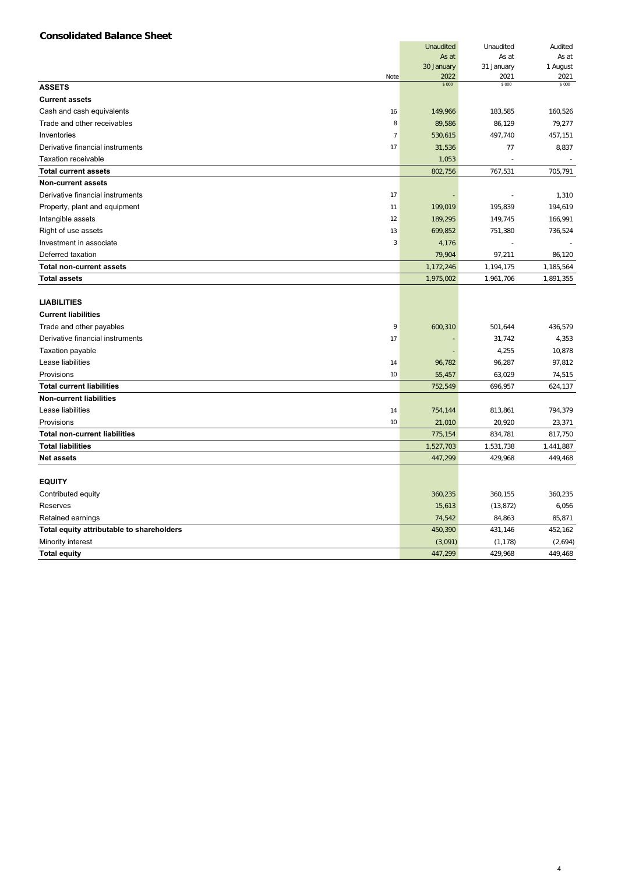# **Consolidated Balance Sheet**

|                                           |                | <b>Unaudited</b> | Unaudited      | Audited        |
|-------------------------------------------|----------------|------------------|----------------|----------------|
|                                           |                | As at            | As at          | As at          |
|                                           |                | 30 January       | 31 January     | 1 August       |
|                                           | Note           | 2022<br>\$000    | 2021<br>\$ 000 | 2021<br>\$ 000 |
| <b>ASSETS</b>                             |                |                  |                |                |
| <b>Current assets</b>                     |                |                  |                |                |
| Cash and cash equivalents                 | 16             | 149,966          | 183,585        | 160,526        |
| Trade and other receivables               | 8              | 89,586           | 86,129         | 79,277         |
| Inventories                               | $\overline{7}$ | 530,615          | 497,740        | 457,151        |
| Derivative financial instruments          | 17             | 31,536           | 77             | 8,837          |
| <b>Taxation receivable</b>                |                | 1,053            |                |                |
| <b>Total current assets</b>               |                | 802,756          | 767,531        | 705,791        |
| <b>Non-current assets</b>                 |                |                  |                |                |
| Derivative financial instruments          | 17             |                  |                | 1,310          |
| Property, plant and equipment             | 11             | 199,019          | 195,839        | 194,619        |
| Intangible assets                         | 12             | 189,295          | 149,745        | 166,991        |
| Right of use assets                       | 13             | 699,852          | 751,380        | 736,524        |
| Investment in associate                   | $\overline{3}$ | 4,176            |                |                |
| Deferred taxation                         |                | 79,904           | 97,211         | 86,120         |
| <b>Total non-current assets</b>           |                | 1,172,246        | 1,194,175      | 1,185,564      |
| <b>Total assets</b>                       |                | 1,975,002        | 1,961,706      | 1,891,355      |
|                                           |                |                  |                |                |
| <b>LIABILITIES</b>                        |                |                  |                |                |
| <b>Current liabilities</b>                |                |                  |                |                |
| Trade and other payables                  | 9              | 600,310          | 501,644        | 436,579        |
| Derivative financial instruments          | 17             |                  | 31,742         | 4,353          |
| Taxation payable                          |                |                  | 4,255          | 10,878         |
| Lease liabilities                         | 14             | 96,782           | 96,287         | 97,812         |
| Provisions                                | 10             | 55,457           | 63,029         | 74,515         |
| <b>Total current liabilities</b>          |                | 752,549          | 696,957        | 624,137        |
| <b>Non-current liabilities</b>            |                |                  |                |                |
| Lease liabilities                         | 14             | 754,144          | 813,861        | 794,379        |
| Provisions                                | 10             | 21,010           | 20,920         | 23,371         |
| <b>Total non-current liabilities</b>      |                | 775,154          | 834,781        | 817,750        |
| <b>Total liabilities</b>                  |                | 1,527,703        | 1,531,738      | 1,441,887      |
| <b>Net assets</b>                         |                | 447,299          | 429,968        | 449,468        |
|                                           |                |                  |                |                |
| <b>EQUITY</b>                             |                |                  |                |                |
| Contributed equity                        |                | 360,235          | 360,155        | 360,235        |
| Reserves                                  |                | 15,613           | (13, 872)      | 6,056          |
| Retained earnings                         |                | 74,542           | 84,863         | 85,871         |
| Total equity attributable to shareholders |                | 450,390          | 431,146        | 452,162        |
| Minority interest                         |                | (3,091)          | (1, 178)       | (2,694)        |
| <b>Total equity</b>                       |                | 447,299          | 429,968        | 449,468        |

4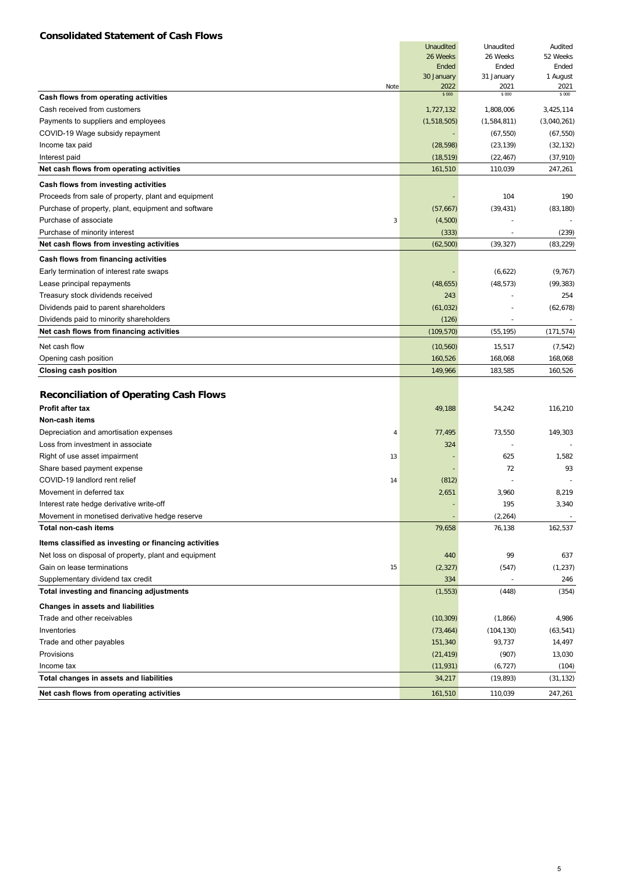# **Consolidated Statement of Cash Flows**

|                                                       | Unaudited          | Unaudited          | Audited          |
|-------------------------------------------------------|--------------------|--------------------|------------------|
|                                                       | 26 Weeks           | 26 Weeks           | 52 Weeks         |
|                                                       | Ended              | Ended              | Ended            |
| Note                                                  | 30 January<br>2022 | 31 January<br>2021 | 1 August<br>2021 |
| Cash flows from operating activities                  | \$000              | \$ 000             | \$ 000           |
| Cash received from customers                          | 1,727,132          | 1,808,006          | 3,425,114        |
| Payments to suppliers and employees                   | (1,518,505)        | (1,584,811)        | (3,040,261)      |
| COVID-19 Wage subsidy repayment                       |                    | (67, 550)          | (67, 550)        |
| Income tax paid                                       | (28, 598)          | (23, 139)          | (32, 132)        |
| Interest paid                                         | (18, 519)          | (22, 467)          | (37, 910)        |
| Net cash flows from operating activities              | 161,510            | 110,039            | 247,261          |
| Cash flows from investing activities                  |                    |                    |                  |
| Proceeds from sale of property, plant and equipment   |                    | 104                | 190              |
| Purchase of property, plant, equipment and software   | (57, 667)          | (39, 431)          | (83, 180)        |
| Purchase of associate<br>3                            | (4,500)            |                    |                  |
| Purchase of minority interest                         | (333)              |                    | (239)            |
| Net cash flows from investing activities              | (62, 500)          | (39, 327)          | (83, 229)        |
| Cash flows from financing activities                  |                    |                    |                  |
| Early termination of interest rate swaps              |                    | (6,622)            | (9, 767)         |
| Lease principal repayments                            | (48, 655)          | (48, 573)          | (99, 383)        |
| Treasury stock dividends received                     | 243                |                    | 254              |
| Dividends paid to parent shareholders                 | (61, 032)          |                    | (62, 678)        |
| Dividends paid to minority shareholders               | (126)              | $\blacksquare$     | $\sim$           |
| Net cash flows from financing activities              | (109, 570)         | (55, 195)          | (171, 574)       |
|                                                       |                    |                    |                  |
| Net cash flow                                         | (10, 560)          | 15,517             | (7, 542)         |
| Opening cash position                                 | 160,526            | 168,068            | 168,068          |
| <b>Closing cash position</b>                          | 149,966            | 183,585            | 160,526          |
| <b>Reconciliation of Operating Cash Flows</b>         |                    |                    |                  |
| Profit after tax                                      | 49,188             | 54,242             | 116,210          |
| Non-cash items                                        |                    |                    |                  |
| Depreciation and amortisation expenses<br>4           | 77,495             | 73,550             | 149,303          |
| Loss from investment in associate                     | 324                |                    |                  |
| Right of use asset impairment<br>13                   |                    | 625                | 1,582            |
| Share based payment expense                           |                    | 72                 | 93               |
| COVID-19 landlord rent relief<br>14                   | (812)              |                    |                  |
| Movement in deferred tax                              | 2,651              | 3,960              | 8,219            |
| Interest rate hedge derivative write-off              |                    | 195                | 3,340            |
| Movement in monetised derivative hedge reserve        |                    | (2, 264)           |                  |
| <b>Total non-cash items</b>                           | 79,658             | 76,138             | 162,537          |
| Items classified as investing or financing activities |                    |                    |                  |
| Net loss on disposal of property, plant and equipment | 440                | 99                 | 637              |
| Gain on lease terminations<br>15                      | (2, 327)           | (547)              | (1, 237)         |
| Supplementary dividend tax credit                     | 334                |                    | 246              |
| Total investing and financing adjustments             | (1, 553)           | (448)              | (354)            |
| Changes in assets and liabilities                     |                    |                    |                  |
| Trade and other receivables                           | (10, 309)          | (1,866)            | 4,986            |
| Inventories                                           | (73, 464)          | (104, 130)         | (63, 541)        |
| Trade and other payables                              | 151,340            | 93,737             | 14,497           |
| Provisions                                            | (21, 419)          | (907)              | 13,030           |
| Income tax                                            | (11, 931)          | (6, 727)           | (104)            |
| Total changes in assets and liabilities               | 34,217             | (19, 893)          | (31, 132)        |
|                                                       |                    |                    |                  |
| Net cash flows from operating activities              | 161,510            | 110,039            | 247,261          |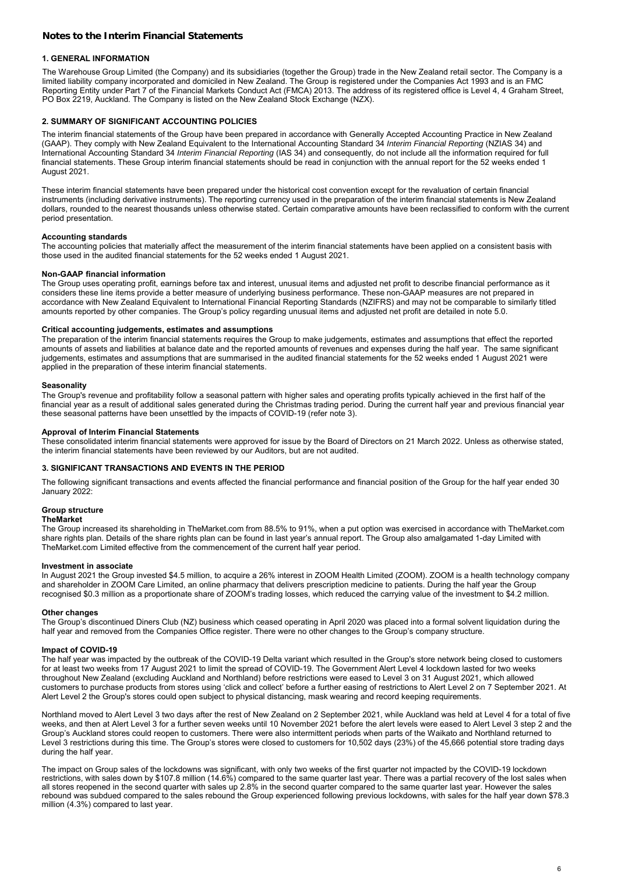# **Notes to the Interim Financial Statements**

## **1. GENERAL INFORMATION**

The Warehouse Group Limited (the Company) and its subsidiaries (together the Group) trade in the New Zealand retail sector. The Company is a limited liability company incorporated and domiciled in New Zealand. The Group is registered under the Companies Act 1993 and is an FMC Reporting Entity under Part 7 of the Financial Markets Conduct Act (FMCA) 2013. The address of its registered office is Level 4, 4 Graham Street, PO Box 2219, Auckland. The Company is listed on the New Zealand Stock Exchange (NZX).

# **2. SUMMARY OF SIGNIFICANT ACCOUNTING POLICIES**

The interim financial statements of the Group have been prepared in accordance with Generally Accepted Accounting Practice in New Zealand (GAAP). They comply with New Zealand Equivalent to the International Accounting Standard 34 *Interim Financial Reporting* (NZIAS 34) and International Accounting Standard 34 *Interim Financial Reporting* (IAS 34) and consequently, do not include all the information required for full financial statements. These Group interim financial statements should be read in conjunction with the annual report for the 52 weeks ended 1 August 2021.

These interim financial statements have been prepared under the historical cost convention except for the revaluation of certain financial instruments (including derivative instruments). The reporting currency used in the preparation of the interim financial statements is New Zealand dollars, rounded to the nearest thousands unless otherwise stated. Certain comparative amounts have been reclassified to conform with the current period presentation.

#### **Accounting standards**

The accounting policies that materially affect the measurement of the interim financial statements have been applied on a consistent basis with those used in the audited financial statements for the 52 weeks ended 1 August 2021.

#### **Non-GAAP financial information**

The Group uses operating profit, earnings before tax and interest, unusual items and adjusted net profit to describe financial performance as it considers these line items provide a better measure of underlying business performance. These non-GAAP measures are not prepared in accordance with New Zealand Equivalent to International Financial Reporting Standards (NZIFRS) and may not be comparable to similarly titled amounts reported by other companies. The Group's policy regarding unusual items and adjusted net profit are detailed in note 5.0.

#### **Critical accounting judgements, estimates and assumptions**

The preparation of the interim financial statements requires the Group to make judgements, estimates and assumptions that effect the reported amounts of assets and liabilities at balance date and the reported amounts of revenues and expenses during the half year. The same significant judgements, estimates and assumptions that are summarised in the audited financial statements for the 52 weeks ended 1 August 2021 were applied in the preparation of these interim financial statements.

#### **Seasonality**

The Group's revenue and profitability follow a seasonal pattern with higher sales and operating profits typically achieved in the first half of the financial year as a result of additional sales generated during the Christmas trading period. During the current half year and previous financial year these seasonal patterns have been unsettled by the impacts of COVID-19 (refer note 3).

#### **Approval of Interim Financial Statements**

These consolidated interim financial statements were approved for issue by the Board of Directors on 21 March 2022. Unless as otherwise stated, the interim financial statements have been reviewed by our Auditors, but are not audited.

#### **3. SIGNIFICANT TRANSACTIONS AND EVENTS IN THE PERIOD**

The following significant transactions and events affected the financial performance and financial position of the Group for the half year ended 30 January 2022:

#### **Group structure**

#### **TheMarket**

The Group increased its shareholding in TheMarket.com from 88.5% to 91%, when a put option was exercised in accordance with TheMarket.com share rights plan. Details of the share rights plan can be found in last year's annual report. The Group also amalgamated 1-day Limited with TheMarket.com Limited effective from the commencement of the current half year period.

#### **Investment in associate**

In August 2021 the Group invested \$4.5 million, to acquire a 26% interest in ZOOM Health Limited (ZOOM). ZOOM is a health technology company and shareholder in ZOOM Care Limited, an online pharmacy that delivers prescription medicine to patients. During the half year the Group recognised \$0.3 million as a proportionate share of ZOOM's trading losses, which reduced the carrying value of the investment to \$4.2 million.

#### **Other changes**

The Group's discontinued Diners Club (NZ) business which ceased operating in April 2020 was placed into a formal solvent liquidation during the half year and removed from the Companies Office register. There were no other changes to the Group's company structure.

#### **Impact of COVID-19**

mipact of equival to the outbreak of the COVID-19 Delta variant which resulted in the Group's store network being closed to customers for at least two weeks from 17 August 2021 to limit the spread of COVID-19. The Government Alert Level 4 lockdown lasted for two weeks throughout New Zealand (excluding Auckland and Northland) before restrictions were eased to Level 3 on 31 August 2021, which allowed customers to purchase products from stores using 'click and collect' before a further easing of restrictions to Alert Level 2 on 7 September 2021. At Alert Level 2 the Group's stores could open subject to physical distancing, mask wearing and record keeping requirements.

Northland moved to Alert Level 3 two days after the rest of New Zealand on 2 September 2021, while Auckland was held at Level 4 for a total of five weeks, and then at Alert Level 3 for a further seven weeks until 10 November 2021 before the alert levels were eased to Alert Level 3 step 2 and the Group's Auckland stores could reopen to customers. There were also intermittent periods when parts of the Waikato and Northland returned to Level 3 restrictions during this time. The Group's stores were closed to customers for 10,502 days (23%) of the 45,666 potential store trading days during the half year.

The impact on Group sales of the lockdowns was significant, with only two weeks of the first quarter not impacted by the COVID-19 lockdown restrictions, with sales down by \$107.8 million (14.6%) compared to the same quarter last year. There was a partial recovery of the lost sales when all stores reopened in the second quarter with sales up 2.8% in the second quarter compared to the same quarter last year. However the sales rebound was subdued compared to the sales rebound the Group experienced following previous lockdowns, with sales for the half year down \$78.3 million (4.3%) compared to last year.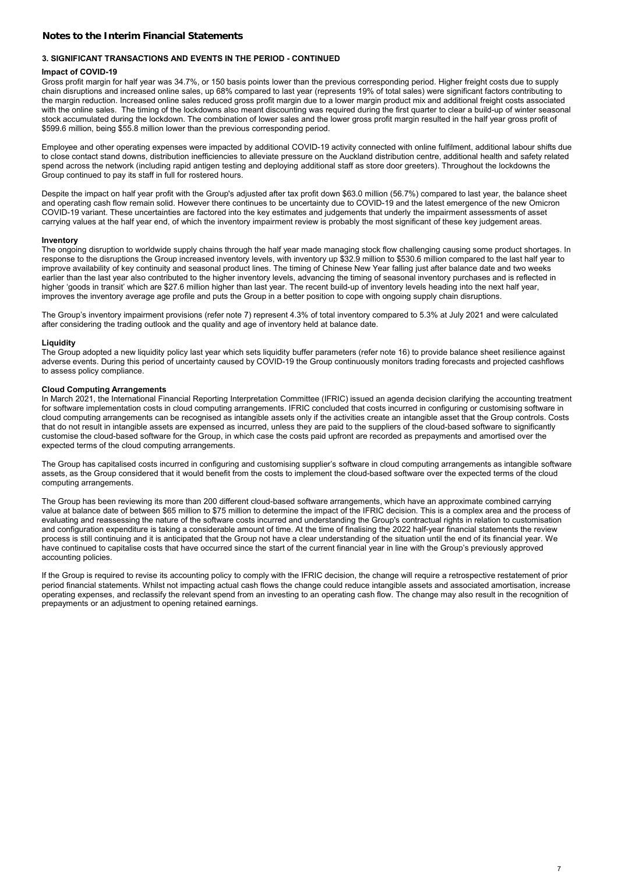### **Notes to the Interim Financial Statements**

# **3. SIGNIFICANT TRANSACTIONS AND EVENTS IN THE PERIOD - CONTINUED**

#### **Impact of COVID-19**

Gross profit margin for half year was 34.7%, or 150 basis points lower than the previous corresponding period. Higher freight costs due to supply chain disruptions and increased online sales, up 68% compared to last year (represents 19% of total sales) were significant factors contributing to the margin reduction. Increased online sales reduced gross profit margin due to a lower margin product mix and additional freight costs associated with the online sales. The timing of the lockdowns also meant discounting was required during the first quarter to clear a build-up of winter seasonal stock accumulated during the lockdown. The combination of lower sales and the lower gross profit margin resulted in the half year gross profit of \$599.6 million, being \$55.8 million lower than the previous corresponding period.

Employee and other operating expenses were impacted by additional COVID-19 activity connected with online fulfilment, additional labour shifts due to close contact stand downs, distribution inefficiencies to alleviate pressure on the Auckland distribution centre, additional health and safety related spend across the network (including rapid antigen testing and deploying additional staff as store door greeters). Throughout the lockdowns the Group continued to pay its staff in full for rostered hours.

Despite the impact on half year profit with the Group's adjusted after tax profit down \$63.0 million (56.7%) compared to last year, the balance sheet and operating cash flow remain solid. However there continues to be uncertainty due to COVID-19 and the latest emergence of the new Omicron COVID-19 variant. These uncertainties are factored into the key estimates and judgements that underly the impairment assessments of asset carrying values at the half year end, of which the inventory impairment review is probably the most significant of these key judgement areas.

#### **Inventory**

The ongoing disruption to worldwide supply chains through the half year made managing stock flow challenging causing some product shortages. In response to the disruptions the Group increased inventory levels, with inventory up \$32.9 million to \$530.6 million compared to the last half year to improve availability of key continuity and seasonal product lines. The timing of Chinese New Year falling just after balance date and two weeks earlier than the last year also contributed to the higher inventory levels, advancing the timing of seasonal inventory purchases and is reflected in higher 'goods in transit' which are \$27.6 million higher than last year. The recent build-up of inventory levels heading into the next half year, improves the inventory average age profile and puts the Group in a better position to cope with ongoing supply chain disruptions.

The Group's inventory impairment provisions (refer note 7) represent 4.3% of total inventory compared to 5.3% at July 2021 and were calculated after considering the trading outlook and the quality and age of inventory held at balance date.

#### **Liquidity**

The Group adopted a new liquidity policy last year which sets liquidity buffer parameters (refer note 16) to provide balance sheet resilience against adverse events. During this period of uncertainty caused by COVID-19 the Group continuously monitors trading forecasts and projected cashflows to assess policy compliance.

#### **Cloud Computing Arrangements**

In March 2021, the International Financial Reporting Interpretation Committee (IFRIC) issued an agenda decision clarifying the accounting treatment for software implementation costs in cloud computing arrangements. IFRIC concluded that costs incurred in configuring or customising software in cloud computing arrangements can be recognised as intangible assets only if the activities create an intangible asset that the Group controls. Costs that do not result in intangible assets are expensed as incurred, unless they are paid to the suppliers of the cloud-based software to significantly customise the cloud-based software for the Group, in which case the costs paid upfront are recorded as prepayments and amortised over the expected terms of the cloud computing arrangements.

The Group has capitalised costs incurred in configuring and customising supplier's software in cloud computing arrangements as intangible software assets, as the Group considered that it would benefit from the costs to implement the cloud-based software over the expected terms of the cloud computing arrangements.

The Group has been reviewing its more than 200 different cloud-based software arrangements, which have an approximate combined carrying value at balance date of between \$65 million to \$75 million to determine the impact of the IFRIC decision. This is a complex area and the process of evaluating and reassessing the nature of the software costs incurred and understanding the Group's contractual rights in relation to customisation and configuration expenditure is taking a considerable amount of time. At the time of finalising the 2022 half-year financial statements the review process is still continuing and it is anticipated that the Group not have a clear understanding of the situation until the end of its financial year. We have continued to capitalise costs that have occurred since the start of the current financial year in line with the Group's previously approved accounting policies.

If the Group is required to revise its accounting policy to comply with the IFRIC decision, the change will require a retrospective restatement of prior period financial statements. Whilst not impacting actual cash flows the change could reduce intangible assets and associated amortisation, increase operating expenses, and reclassify the relevant spend from an investing to an operating cash flow. The change may also result in the recognition of prepayments or an adjustment to opening retained earnings.

7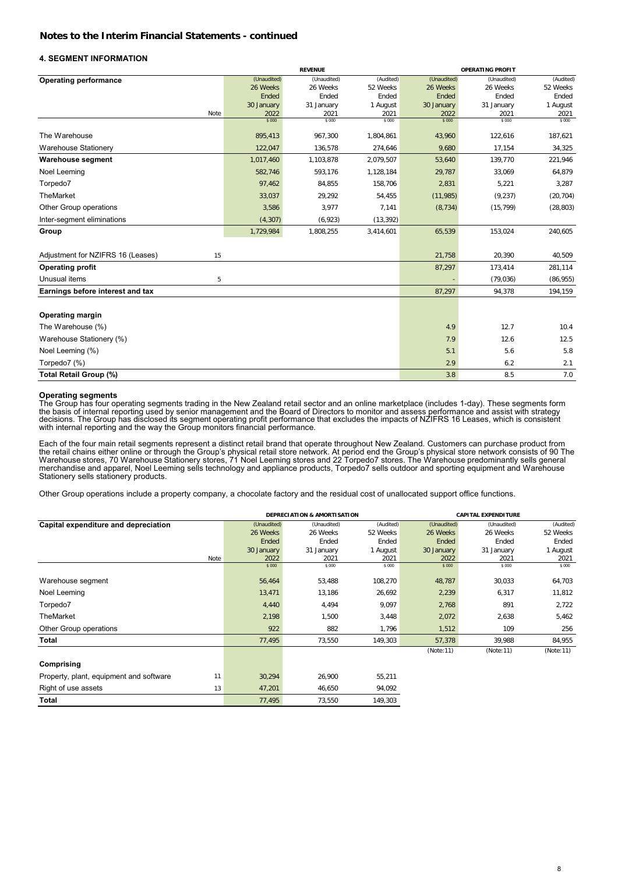#### **4. SEGMENT INFORMATION**

|                                         |                | <b>REVENUE</b> |                |               | <b>OPERATING PROFIT</b> |                |  |
|-----------------------------------------|----------------|----------------|----------------|---------------|-------------------------|----------------|--|
| <b>Operating performance</b>            | (Unaudited)    | (Unaudited)    | (Audited)      | (Unaudited)   | (Unaudited)             | (Audited)      |  |
|                                         | 26 Weeks       | 26 Weeks       | 52 Weeks       | 26 Weeks      | 26 Weeks                | 52 Weeks       |  |
|                                         | Ended          | Ended          | Ended          | Ended         | Ended                   | Ended          |  |
|                                         | 30 January     | 31 January     | 1 August       | 30 January    | 31 January              | 1 August       |  |
| Note                                    | 2022<br>\$ 000 | 2021<br>\$000  | 2021<br>\$ 000 | 2022<br>\$000 | 2021<br>\$ 000          | 2021<br>\$ 000 |  |
| The Warehouse                           |                |                |                |               |                         |                |  |
|                                         | 895,413        | 967,300        | 1,804,861      | 43,960        | 122,616                 | 187,621        |  |
| <b>Warehouse Stationery</b>             | 122,047        | 136,578        | 274,646        | 9,680         | 17,154                  | 34,325         |  |
| <b>Warehouse segment</b>                | 1,017,460      | 1,103,878      | 2,079,507      | 53,640        | 139,770                 | 221,946        |  |
| Noel Leeming                            | 582,746        | 593,176        | 1,128,184      | 29,787        | 33,069                  | 64,879         |  |
| Torpedo7                                | 97,462         | 84,855         | 158,706        | 2,831         | 5,221                   | 3,287          |  |
| TheMarket                               | 33,037         | 29,292         | 54,455         | (11, 985)     | (9, 237)                | (20, 704)      |  |
| Other Group operations                  | 3,586          | 3,977          | 7,141          | (8, 734)      | (15, 799)               | (28, 803)      |  |
| Inter-segment eliminations              | (4, 307)       | (6,923)        | (13, 392)      |               |                         |                |  |
| Group                                   | 1,729,984      | 1,808,255      | 3,414,601      | 65,539        | 153,024                 | 240,605        |  |
| Adjustment for NZIFRS 16 (Leases)<br>15 |                |                |                | 21,758        | 20,390                  | 40,509         |  |
| <b>Operating profit</b>                 |                |                |                | 87,297        | 173,414                 | 281,114        |  |
| Unusual items<br>5                      |                |                |                |               | (79, 036)               | (86, 955)      |  |
| Earnings before interest and tax        |                |                |                | 87,297        | 94,378                  | 194,159        |  |
| <b>Operating margin</b>                 |                |                |                |               |                         |                |  |
| The Warehouse (%)                       |                |                |                | 4.9           | 12.7                    | 10.4           |  |
| Warehouse Stationery (%)                |                |                |                | 7.9           | 12.6                    | 12.5           |  |
| Noel Leeming (%)                        |                |                |                | 5.1           | 5.6                     | 5.8            |  |
| Torpedo7 (%)                            |                |                |                | 2.9           | 6.2                     | 2.1            |  |
| Total Retail Group (%)                  |                |                |                | 3.8           | 8.5                     | 7.0            |  |

#### **Operating segments**

The Group has four operating segments trading in the New Zealand retail sector and an online marketplace (includes 1-day). These segments form<br>the basis of internal reporting used by senior management and the Board of Dire

Each of the four main retail segments represent a distinct retail brand that operate throughout New Zealand. Customers can purchase product from<br>the retail chains either online or through the Group's physical retail store Stationery sells stationery products.

Other Group operations include a property company, a chocolate factory and the residual cost of unallocated support office functions.

|                                               |             | <b>DEPRECIATION &amp; AMORTISATION</b> |           |             | <b>CAPITAL EXPENDITURE</b> |           |
|-----------------------------------------------|-------------|----------------------------------------|-----------|-------------|----------------------------|-----------|
| Capital expenditure and depreciation          | (Unaudited) | (Unaudited)                            | (Audited) | (Unaudited) | (Unaudited)                | (Audited) |
|                                               | 26 Weeks    | 26 Weeks                               | 52 Weeks  | 26 Weeks    | 26 Weeks                   | 52 Weeks  |
|                                               | Ended       | Ended                                  | Ended     | Ended       | Ended                      | Ended     |
|                                               | 30 January  | 31 January                             | 1 August  | 30 January  | 31 January                 | 1 August  |
| Note                                          | 2022        | 2021                                   | 2021      | 2022        | 2021                       | 2021      |
|                                               | \$ 000      | \$ 000                                 | \$ 000    | \$ 000      | \$ 000                     | \$ 000    |
| Warehouse segment                             | 56,464      | 53,488                                 | 108,270   | 48,787      | 30,033                     | 64,703    |
| Noel Leeming                                  | 13,471      | 13,186                                 | 26,692    | 2,239       | 6,317                      | 11,812    |
| Torpedo7                                      | 4,440       | 4,494                                  | 9,097     | 2,768       | 891                        | 2,722     |
| <b>TheMarket</b>                              | 2,198       | 1,500                                  | 3,448     | 2,072       | 2,638                      | 5,462     |
| Other Group operations                        | 922         | 882                                    | 1,796     | 1,512       | 109                        | 256       |
| Total                                         | 77,495      | 73,550                                 | 149,303   | 57,378      | 39,988                     | 84,955    |
|                                               |             |                                        |           | (Note:11)   | (Note:11)                  | (Note:11) |
| Comprising                                    |             |                                        |           |             |                            |           |
| Property, plant, equipment and software<br>11 | 30,294      | 26,900                                 | 55,211    |             |                            |           |
| Right of use assets<br>13                     | 47,201      | 46,650                                 | 94,092    |             |                            |           |
| Total                                         | 77,495      | 73,550                                 | 149,303   |             |                            |           |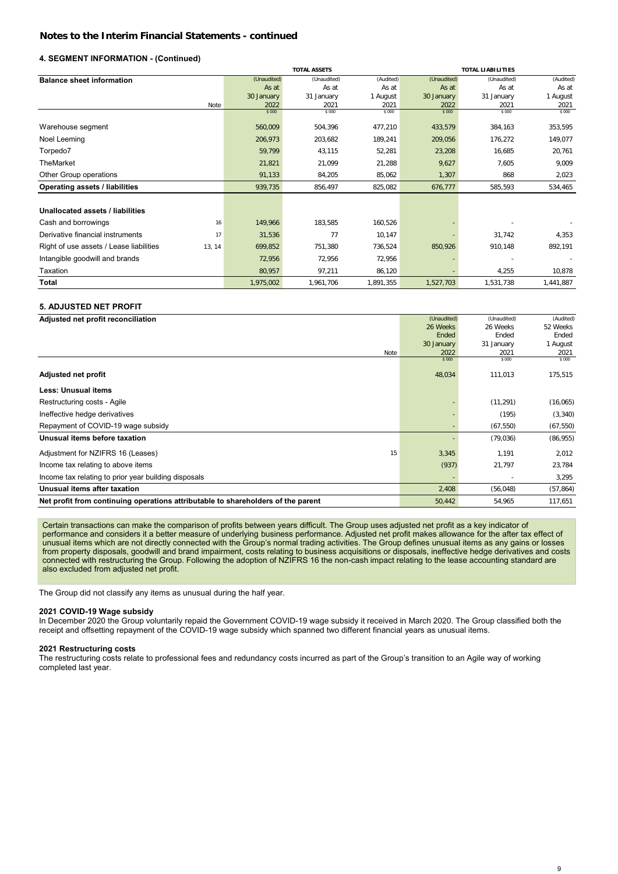# **4. SEGMENT INFORMATION - (Continued)**

|                                                   |             | <b>TOTAL ASSETS</b><br><b>TOTAL LIABILITIES</b> |           |             |             |           |
|---------------------------------------------------|-------------|-------------------------------------------------|-----------|-------------|-------------|-----------|
| <b>Balance sheet information</b>                  | (Unaudited) | (Unaudited)                                     | (Audited) | (Unaudited) | (Unaudited) | (Audited) |
|                                                   | As at       | As at                                           | As at     | As at       | As at       | As at     |
|                                                   | 30 January  | 31 January                                      | 1 August  | 30 January  | 31 January  | 1 August  |
| Note                                              | 2022        | 2021                                            | 2021      | 2022        | 2021        | 2021      |
|                                                   | \$000       | \$ 000                                          | \$000     | \$000       | \$ 000      | \$ 000    |
| Warehouse segment                                 | 560,009     | 504,396                                         | 477,210   | 433,579     | 384,163     | 353,595   |
| Noel Leeming                                      | 206,973     | 203,682                                         | 189,241   | 209,056     | 176,272     | 149,077   |
| Torpedo7                                          | 59,799      | 43,115                                          | 52,281    | 23,208      | 16,685      | 20,761    |
| TheMarket                                         | 21,821      | 21,099                                          | 21,288    | 9,627       | 7,605       | 9,009     |
| Other Group operations                            | 91,133      | 84,205                                          | 85,062    | 1,307       | 868         | 2,023     |
| Operating assets / liabilities                    | 939,735     | 856,497                                         | 825,082   | 676,777     | 585,593     | 534,465   |
|                                                   |             |                                                 |           |             |             |           |
| Unallocated assets / liabilities                  |             |                                                 |           |             |             |           |
| Cash and borrowings<br>16                         | 149,966     | 183,585                                         | 160,526   |             |             |           |
| Derivative financial instruments<br>17            | 31,536      | 77                                              | 10,147    |             | 31,742      | 4,353     |
| Right of use assets / Lease liabilities<br>13, 14 | 699,852     | 751,380                                         | 736,524   | 850,926     | 910,148     | 892,191   |
| Intangible goodwill and brands                    | 72,956      | 72,956                                          | 72,956    |             |             |           |
| Taxation                                          | 80,957      | 97,211                                          | 86,120    |             | 4,255       | 10,878    |
| Total                                             | 1,975,002   | 1,961,706                                       | 1,891,355 | 1,527,703   | 1,531,738   | 1,441,887 |

# **5. ADJUSTED NET PROFIT**

**Adjusted net profit reconciliation**

| Adjusted net profit reconciliation                                               | (Unaudited) | (Unaudited) | (Audited) |
|----------------------------------------------------------------------------------|-------------|-------------|-----------|
|                                                                                  | 26 Weeks    | 26 Weeks    | 52 Weeks  |
|                                                                                  | Ended       | Ended       | Ended     |
|                                                                                  | 30 January  | 31 January  | 1 August  |
| Note                                                                             | 2022        | 2021        | 2021      |
|                                                                                  | \$ 000      | \$ 000      | \$ 000    |
| <b>Adjusted net profit</b>                                                       | 48,034      | 111,013     | 175,515   |
| <b>Less: Unusual items</b>                                                       |             |             |           |
| Restructuring costs - Agile                                                      |             | (11, 291)   | (16,065)  |
| Ineffective hedge derivatives                                                    |             | (195)       | (3, 340)  |
| Repayment of COVID-19 wage subsidy                                               |             | (67, 550)   | (67, 550) |
| Unusual items before taxation                                                    |             | (79, 036)   | (86, 955) |
| Adjustment for NZIFRS 16 (Leases)<br>15                                          | 3,345       | 1,191       | 2,012     |
| Income tax relating to above items                                               | (937)       | 21,797      | 23,784    |
| Income tax relating to prior year building disposals                             |             |             | 3,295     |
| Unusual items after taxation                                                     | 2,408       | (56, 048)   | (57, 864) |
| Net profit from continuing operations attributable to shareholders of the parent | 50,442      | 54,965      | 117,651   |
|                                                                                  |             |             |           |

Certain transactions can make the comparison of profits between years difficult. The Group uses adjusted net profit as a key indicator of performance and considers it a better measure of underlying business performance. Adjusted net profit makes allowance for the after tax effect of unusual items which are not directly connected with the Group's normal trading activities. The Group defines unusual items as any gains or losses from property disposals, goodwill and brand impairment, costs relating to business acquisitions or disposals, ineffective hedge derivatives and costs connected with restructuring the Group. Following the adoption of NZIFRS 16 the non-cash impact relating to the lease accounting standard are also excluded from adjusted net profit.

The Group did not classify any items as unusual during the half year.

#### **2021 COVID-19 Wage subsidy**

In December 2020 the Group voluntarily repaid the Government COVID-19 wage subsidy it received in March 2020. The Group classified both the receipt and offsetting repayment of the COVID-19 wage subsidy which spanned two different financial years as unusual items.

#### **2021 Restructuring costs**

The restructuring costs relate to professional fees and redundancy costs incurred as part of the Group's transition to an Agile way of working completed last year.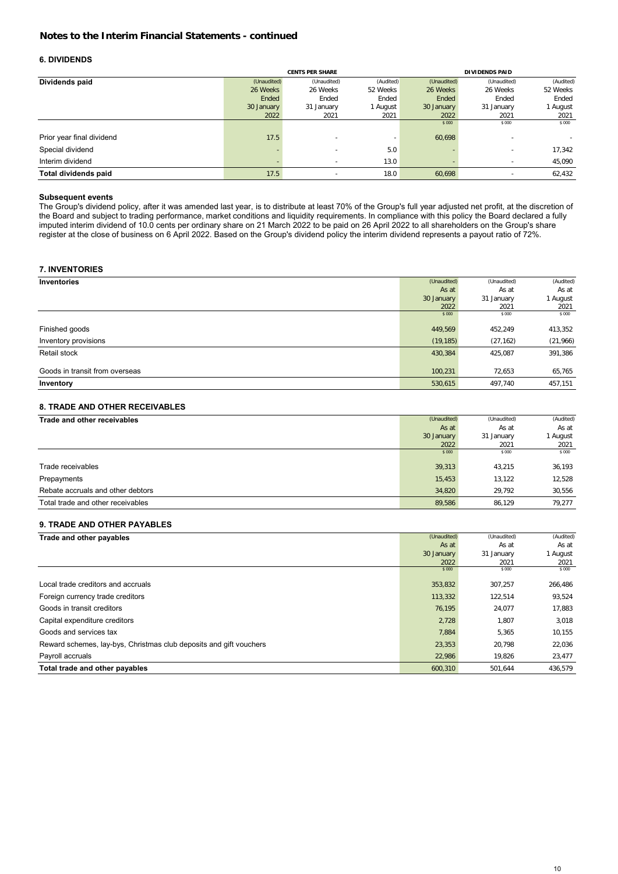# **6. DIVIDENDS**

|                           |             | <b>CENTS PER SHARE</b>   |           |             | <b>DIVIDENDS PAID</b> |           |
|---------------------------|-------------|--------------------------|-----------|-------------|-----------------------|-----------|
| Dividends paid            | (Unaudited) | (Unaudited)              | (Audited) | (Unaudited) | (Unaudited)           | (Audited) |
|                           | 26 Weeks    | 26 Weeks                 | 52 Weeks  | 26 Weeks    | 26 Weeks              | 52 Weeks  |
|                           | Ended       | Ended                    | Ended     | Ended       | Ended                 | Ended     |
|                           | 30 January  | 31 January               | August    | 30 January  | 31 January            | 1 August  |
|                           | 2022        | 2021                     | 2021      | 2022        | 2021                  | 2021      |
|                           |             |                          |           | \$ 000      | \$ 000                | \$ 000    |
| Prior year final dividend | 17.5        | $\overline{\phantom{a}}$ |           | 60,698      | ٠                     |           |
| Special dividend          |             | $\overline{\phantom{a}}$ | 5.0       |             | -                     | 17,342    |
| Interim dividend          |             | $\overline{\phantom{a}}$ | 13.0      |             | ۰                     | 45,090    |
| Total dividends paid      | 17.5        | $\overline{\phantom{a}}$ | 18.0      | 60.698      | -                     | 62,432    |

# **Subsequent events**

The Group's dividend policy, after it was amended last year, is to distribute at least 70% of the Group's full year adjusted net profit, at the discretion of the Board and subject to trading performance, market conditions and liquidity requirements. In compliance with this policy the Board declared a fully imputed interim dividend of 10.0 cents per ordinary share on 21 March 2022 to be paid on 26 April 2022 to all shareholders on the Group's share register at the close of business on 6 April 2022. Based on the Group's dividend policy the interim dividend represents a payout ratio of 72%.

# **7. INVENTORIES**

|                                | (Unaudited) | (Unaudited) | (Audited) |
|--------------------------------|-------------|-------------|-----------|
| Inventories                    |             |             |           |
|                                | As at       | As at       | As at     |
|                                | 30 January  | 31 January  | 1 August  |
|                                | 2022        | 2021        | 2021      |
|                                | \$ 000      | \$ 000      | \$ 000    |
|                                |             |             |           |
| Finished goods                 | 449,569     | 452,249     | 413,352   |
| Inventory provisions           | (19, 185)   | (27, 162)   | (21,966)  |
| Retail stock                   | 430,384     | 425,087     | 391,386   |
|                                |             |             |           |
| Goods in transit from overseas | 100,231     | 72,653      | 65,765    |
| Inventory                      | 530,615     | 497,740     | 457,151   |

# **8. TRADE AND OTHER RECEIVABLES**

| Trade and other receivables       | (Unaudited) | (Unaudited) | (Audited) |
|-----------------------------------|-------------|-------------|-----------|
|                                   | As at       | As at       | As at     |
|                                   | 30 January  | 31 January  | August    |
|                                   | 2022        | 2021        | 2021      |
|                                   | \$ 000      | \$ 000      | \$ 000    |
| Trade receivables                 | 39.313      | 43.215      | 36,193    |
| Prepayments                       | 15.453      | 13.122      | 12.528    |
| Rebate accruals and other debtors | 34.820      | 29.792      | 30,556    |
| Total trade and other receivables | 89.586      | 86.129      | 79.277    |

# **9. TRADE AND OTHER PAYABLES**

| Trade and other payables                                           | (Unaudited) | (Unaudited) | (Audited) |
|--------------------------------------------------------------------|-------------|-------------|-----------|
|                                                                    | As at       | As at       | As at     |
|                                                                    | 30 January  | 31 January  | 1 August  |
|                                                                    | 2022        | 2021        | 2021      |
|                                                                    | \$ 000      | \$ 000      | \$ 000    |
| Local trade creditors and accruals                                 | 353,832     | 307.257     | 266,486   |
| Foreign currency trade creditors                                   | 113,332     | 122,514     | 93,524    |
| Goods in transit creditors                                         | 76,195      | 24.077      | 17,883    |
| Capital expenditure creditors                                      | 2,728       | 1.807       | 3,018     |
| Goods and services tax                                             | 7,884       | 5,365       | 10,155    |
| Reward schemes, lay-bys, Christmas club deposits and gift vouchers | 23,353      | 20.798      | 22,036    |
| Payroll accruals                                                   | 22,986      | 19,826      | 23,477    |
| Total trade and other payables                                     | 600,310     | 501,644     | 436,579   |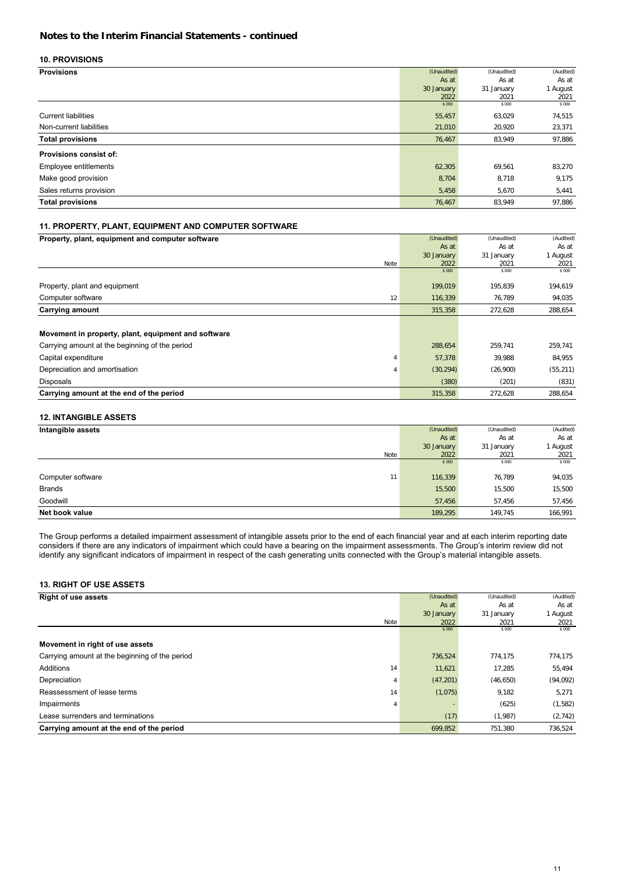# **10. PROVISIONS**

| <b>Provisions</b>             | (Unaudited) | (Unaudited) | (Audited) |
|-------------------------------|-------------|-------------|-----------|
|                               | As at       | As at       | As at     |
|                               | 30 January  | 31 January  | 1 August  |
|                               | 2022        | 2021        | 2021      |
|                               | \$ 000      | \$ 000      | \$ 000    |
| <b>Current liabilities</b>    | 55,457      | 63,029      | 74,515    |
| Non-current liabilities       | 21,010      | 20,920      | 23,371    |
| <b>Total provisions</b>       | 76,467      | 83,949      | 97,886    |
| <b>Provisions consist of:</b> |             |             |           |
| Employee entitlements         | 62,305      | 69,561      | 83,270    |
| Make good provision           | 8,704       | 8,718       | 9,175     |
| Sales returns provision       | 5,458       | 5,670       | 5,441     |
| <b>Total provisions</b>       | 76,467      | 83,949      | 97,886    |

# **11. PROPERTY, PLANT, EQUIPMENT AND COMPUTER SOFTWARE**

| Property, plant, equipment and computer software    | (Unaudited) | (Unaudited) | (Audited) |
|-----------------------------------------------------|-------------|-------------|-----------|
|                                                     | As at       | As at       | As at     |
|                                                     | 30 January  | 31 January  | 1 August  |
| Note                                                | 2022        | 2021        | 2021      |
|                                                     | \$ 000      | \$ 000      | \$ 000    |
| Property, plant and equipment                       | 199,019     | 195,839     | 194,619   |
| Computer software<br>12                             | 116,339     | 76,789      | 94,035    |
| Carrying amount                                     | 315,358     | 272,628     | 288,654   |
|                                                     |             |             |           |
| Movement in property, plant, equipment and software |             |             |           |
| Carrying amount at the beginning of the period      | 288,654     | 259.741     | 259,741   |
| Capital expenditure<br>4                            | 57,378      | 39,988      | 84,955    |
| Depreciation and amortisation<br>4                  | (30, 294)   | (26,900)    | (55, 211) |
| Disposals                                           | (380)       | (201)       | (831)     |
| Carrying amount at the end of the period            | 315,358     | 272.628     | 288.654   |

# **12. INTANGIBLE ASSETS**

| Intangible assets       | (Unaudited) | (Unaudited) | (Audited) |
|-------------------------|-------------|-------------|-----------|
|                         | As at       | As at       | As at     |
|                         | 30 January  | 31 January  | 1 August  |
| Note                    | 2022        | 2021        | 2021      |
|                         | \$ 000      | \$ 000      | \$ 000    |
| Computer software<br>11 | 116,339     | 76,789      | 94,035    |
| <b>Brands</b>           | 15,500      | 15,500      | 15,500    |
| Goodwill                | 57,456      | 57.456      | 57,456    |
| Net book value          | 189,295     | 149,745     | 166,991   |

The Group performs a detailed impairment assessment of intangible assets prior to the end of each financial year and at each interim reporting date considers if there are any indicators of impairment which could have a bearing on the impairment assessments. The Group's interim review did not identify any significant indicators of impairment in respect of the cash generating units connected with the Group's material intangible assets.

# **13. RIGHT OF USE ASSETS**

| <b>Right of use assets</b>                     | (Unaudited) | (Unaudited) | (Audited) |
|------------------------------------------------|-------------|-------------|-----------|
|                                                | As at       | As at       | As at     |
|                                                | 30 January  | 31 January  | 1 August  |
| Note                                           | 2022        | 2021        | 2021      |
|                                                | \$ 000      | \$ 000      | \$ 000    |
| Movement in right of use assets                |             |             |           |
| Carrying amount at the beginning of the period | 736,524     | 774.175     | 774,175   |
| Additions<br>14                                | 11,621      | 17,285      | 55,494    |
| Depreciation<br>4                              | (47, 201)   | (46, 650)   | (94, 092) |
| Reassessment of lease terms<br>14              | (1,075)     | 9,182       | 5,271     |
| Impairments<br>4                               |             | (625)       | (1,582)   |
| Lease surrenders and terminations              | (17)        | (1,987)     | (2,742)   |
| Carrying amount at the end of the period       | 699,852     | 751,380     | 736,524   |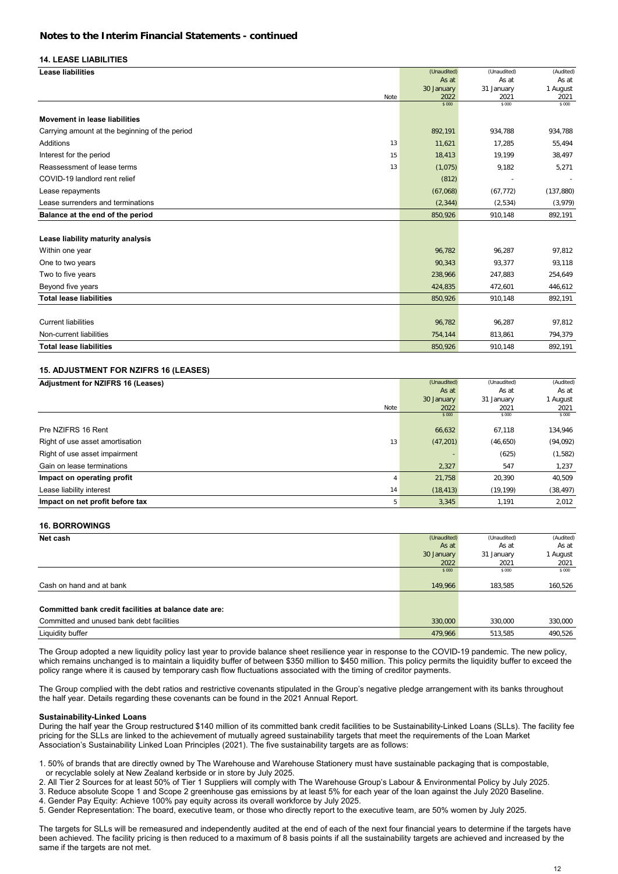#### **14. LEASE LIABILITIES**

| <b>Lease liabilities</b>                       |      | (Unaudited)    | (Unaudited)    | (Audited)      |
|------------------------------------------------|------|----------------|----------------|----------------|
|                                                |      | As at          | As at          | As at          |
|                                                |      | 30 January     | 31 January     | 1 August       |
|                                                | Note | 2022<br>\$ 000 | 2021<br>\$ 000 | 2021<br>\$ 000 |
|                                                |      |                |                |                |
| Movement in lease liabilities                  |      |                |                |                |
| Carrying amount at the beginning of the period |      | 892,191        | 934,788        | 934,788        |
| Additions                                      | 13   | 11,621         | 17,285         | 55,494         |
| Interest for the period                        | 15   | 18,413         | 19,199         | 38,497         |
| Reassessment of lease terms                    | 13   | (1,075)        | 9,182          | 5,271          |
| COVID-19 landlord rent relief                  |      | (812)          |                |                |
| Lease repayments                               |      | (67,068)       | (67, 772)      | (137, 880)     |
| Lease surrenders and terminations              |      | (2, 344)       | (2,534)        | (3,979)        |
| Balance at the end of the period               |      | 850,926        | 910,148        | 892,191        |
|                                                |      |                |                |                |
| Lease liability maturity analysis              |      |                |                |                |
| Within one year                                |      | 96,782         | 96,287         | 97,812         |
| One to two years                               |      | 90,343         | 93,377         | 93,118         |
| Two to five years                              |      | 238,966        | 247,883        | 254,649        |
| Beyond five years                              |      | 424,835        | 472,601        | 446,612        |
| <b>Total lease liabilities</b>                 |      | 850,926        | 910,148        | 892,191        |
|                                                |      |                |                |                |
| <b>Current liabilities</b>                     |      | 96,782         | 96,287         | 97,812         |
| Non-current liabilities                        |      | 754,144        | 813,861        | 794,379        |
| <b>Total lease liabilities</b>                 |      | 850,926        | 910,148        | 892,191        |

# **15. ADJUSTMENT FOR NZIFRS 16 (LEASES)**

| <b>Adjustment for NZIFRS 16 (Leases)</b> | (Unaudited) | (Unaudited) | (Audited) |
|------------------------------------------|-------------|-------------|-----------|
|                                          | As at       | As at       | As at     |
|                                          | 30 January  | 31 January  | l August  |
| Note                                     | 2022        | 2021        | 2021      |
|                                          | \$ 000      | \$ 000      | \$ 000    |
| Pre NZIFRS 16 Rent                       | 66,632      | 67,118      | 134,946   |
| Right of use asset amortisation<br>13    | (47, 201)   | (46, 650)   | (94, 092) |
| Right of use asset impairment            |             | (625)       | (1,582)   |
| Gain on lease terminations               | 2,327       | 547         | 1,237     |
| Impact on operating profit               | 21,758      | 20,390      | 40,509    |
| Lease liability interest<br>14           | (18, 413)   | (19, 199)   | (38, 497) |
| Impact on net profit before tax<br>5     | 3,345       | 1.191       | 2.012     |

#### **16. BORROWINGS**

| Net cash                                              | (Unaudited) | (Unaudited) | (Audited) |
|-------------------------------------------------------|-------------|-------------|-----------|
|                                                       | As at       | As at       | As at     |
|                                                       | 30 January  | 31 January  | 1 August  |
|                                                       | 2022        | 2021        | 2021      |
|                                                       | \$ 000      | \$ 000      | \$ 000    |
| Cash on hand and at bank                              | 149,966     | 183.585     | 160,526   |
|                                                       |             |             |           |
| Committed bank credit facilities at balance date are: |             |             |           |
| Committed and unused bank debt facilities             | 330,000     | 330.000     | 330,000   |
| Liquidity buffer                                      | 479,966     | 513.585     | 490,526   |

The Group adopted a new liquidity policy last year to provide balance sheet resilience year in response to the COVID-19 pandemic. The new policy, which remains unchanged is to maintain a liquidity buffer of between \$350 million to \$450 million. This policy permits the liquidity buffer to exceed the policy range where it is caused by temporary cash flow fluctuations associated with the timing of creditor payments.

The Group complied with the debt ratios and restrictive covenants stipulated in the Group's negative pledge arrangement with its banks throughout the half year. Details regarding these covenants can be found in the 2021 Annual Report.

#### **Sustainability-Linked Loans**

During the half year the Group restructured \$140 million of its committed bank credit facilities to be Sustainability-Linked Loans (SLLs). The facility fee pricing for the SLLs are linked to the achievement of mutually agreed sustainability targets that meet the requirements of the Loan Market Association's Sustainability Linked Loan Principles (2021). The five sustainability targets are as follows:

1. 50% of brands that are directly owned by The Warehouse and Warehouse Stationery must have sustainable packaging that is compostable, or recyclable solely at New Zealand kerbside or in store by July 2025.

2. All Tier 2 Sources for at least 50% of Tier 1 Suppliers will comply with The Warehouse Group's Labour & Environmental Policy by July 2025.

3. Reduce absolute Scope 1 and Scope 2 greenhouse gas emissions by at least 5% for each year of the loan against the July 2020 Baseline.

4. Gender Pay Equity: Achieve 100% pay equity across its overall workforce by July 2025.

5. Gender Representation: The board, executive team, or those who directly report to the executive team, are 50% women by July 2025.

The targets for SLLs will be remeasured and independently audited at the end of each of the next four financial years to determine if the targets have been achieved. The facility pricing is then reduced to a maximum of 8 basis points if all the sustainability targets are achieved and increased by the same if the targets are not met.